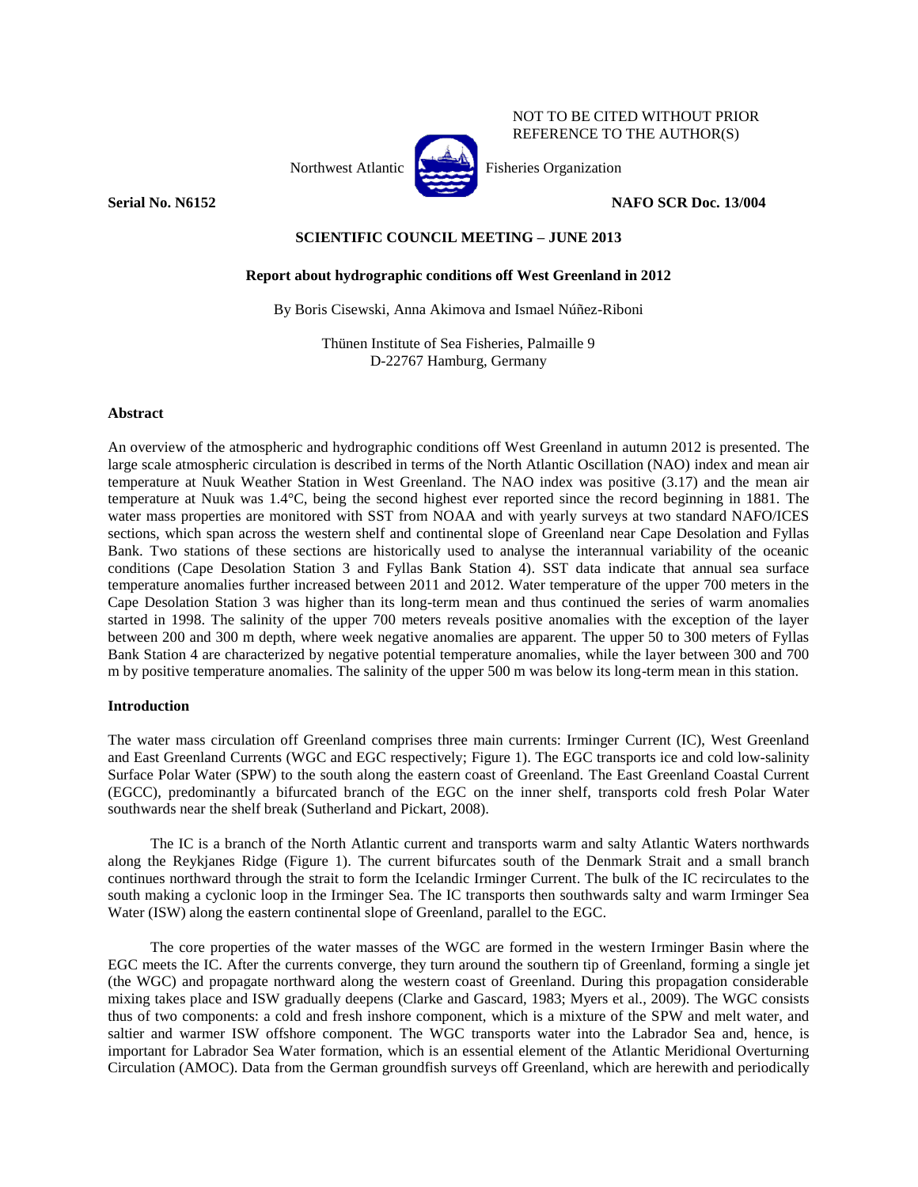

## **Serial No. N6152 NAFO SCR Doc. 13/004**

NOT TO BE CITED WITHOUT PRIOR REFERENCE TO THE AUTHOR(S)

## **SCIENTIFIC COUNCIL MEETING – JUNE 2013**

## **Report about hydrographic conditions off West Greenland in 2012**

By Boris Cisewski, Anna Akimova and Ismael Núñez-Riboni

Thünen Institute of Sea Fisheries, Palmaille 9 D-22767 Hamburg, Germany

## **Abstract**

An overview of the atmospheric and hydrographic conditions off West Greenland in autumn 2012 is presented. The large scale atmospheric circulation is described in terms of the North Atlantic Oscillation (NAO) index and mean air temperature at Nuuk Weather Station in West Greenland. The NAO index was positive (3.17) and the mean air temperature at Nuuk was 1.4°C, being the second highest ever reported since the record beginning in 1881. The water mass properties are monitored with SST from NOAA and with yearly surveys at two standard NAFO/ICES sections, which span across the western shelf and continental slope of Greenland near Cape Desolation and Fyllas Bank. Two stations of these sections are historically used to analyse the interannual variability of the oceanic conditions (Cape Desolation Station 3 and Fyllas Bank Station 4). SST data indicate that annual sea surface temperature anomalies further increased between 2011 and 2012. Water temperature of the upper 700 meters in the Cape Desolation Station 3 was higher than its long-term mean and thus continued the series of warm anomalies started in 1998. The salinity of the upper 700 meters reveals positive anomalies with the exception of the layer between 200 and 300 m depth, where week negative anomalies are apparent. The upper 50 to 300 meters of Fyllas Bank Station 4 are characterized by negative potential temperature anomalies, while the layer between 300 and 700 m by positive temperature anomalies. The salinity of the upper 500 m was below its long-term mean in this station.

## **Introduction**

The water mass circulation off Greenland comprises three main currents: Irminger Current (IC), West Greenland and East Greenland Currents (WGC and EGC respectively; Figure 1). The EGC transports ice and cold low-salinity Surface Polar Water (SPW) to the south along the eastern coast of Greenland. The East Greenland Coastal Current (EGCC), predominantly a bifurcated branch of the EGC on the inner shelf, transports cold fresh Polar Water southwards near the shelf break (Sutherland and Pickart, 2008).

The IC is a branch of the North Atlantic current and transports warm and salty Atlantic Waters northwards along the Reykjanes Ridge (Figure 1). The current bifurcates south of the Denmark Strait and a small branch continues northward through the strait to form the Icelandic Irminger Current. The bulk of the IC recirculates to the south making a cyclonic loop in the Irminger Sea. The IC transports then southwards salty and warm Irminger Sea Water (ISW) along the eastern continental slope of Greenland, parallel to the EGC.

The core properties of the water masses of the WGC are formed in the western Irminger Basin where the EGC meets the IC. After the currents converge, they turn around the southern tip of Greenland, forming a single jet (the WGC) and propagate northward along the western coast of Greenland. During this propagation considerable mixing takes place and ISW gradually deepens (Clarke and Gascard, 1983; Myers et al., 2009). The WGC consists thus of two components: a cold and fresh inshore component, which is a mixture of the SPW and melt water, and saltier and warmer ISW offshore component. The WGC transports water into the Labrador Sea and, hence, is important for Labrador Sea Water formation, which is an essential element of the Atlantic Meridional Overturning Circulation (AMOC). Data from the German groundfish surveys off Greenland, which are herewith and periodically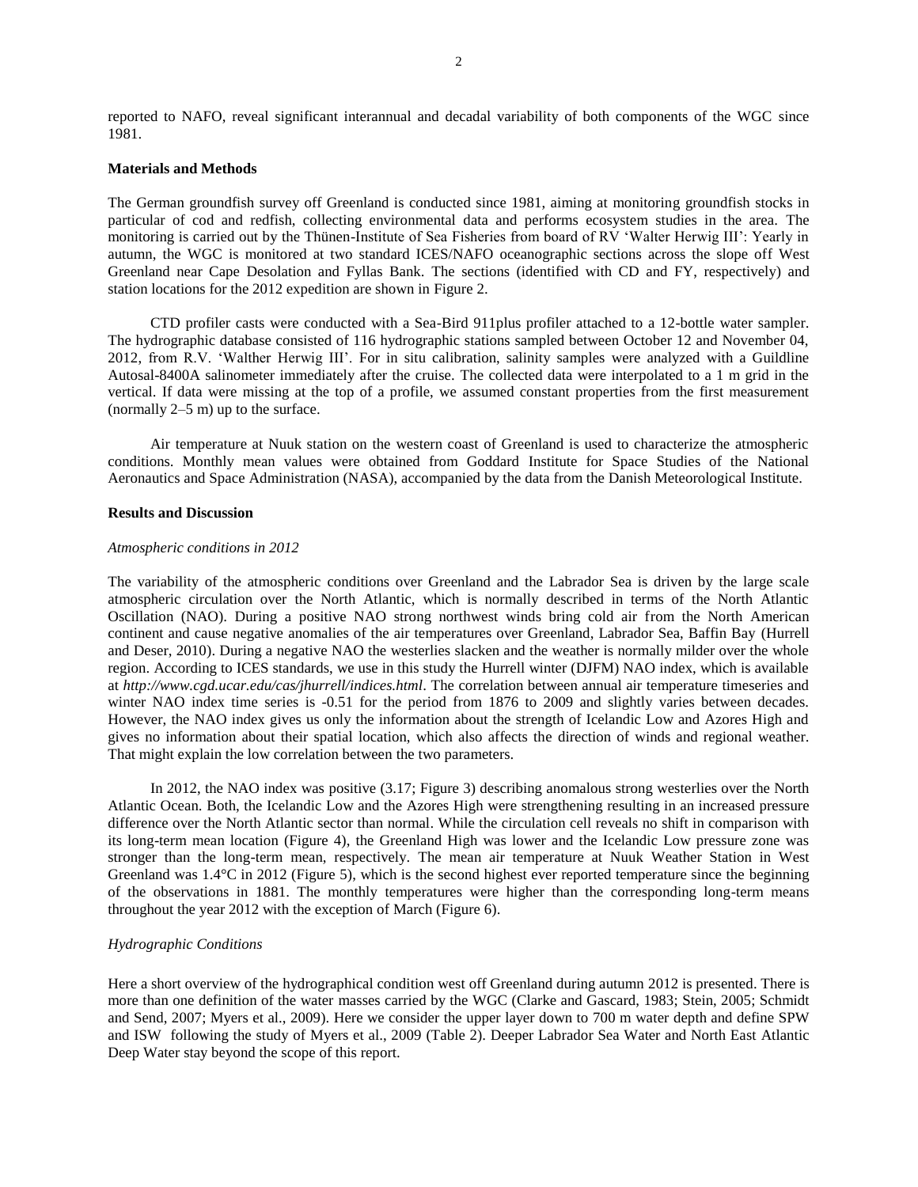reported to NAFO, reveal significant interannual and decadal variability of both components of the WGC since 1981.

### **Materials and Methods**

The German groundfish survey off Greenland is conducted since 1981, aiming at monitoring groundfish stocks in particular of cod and redfish, collecting environmental data and performs ecosystem studies in the area. The monitoring is carried out by the Thünen-Institute of Sea Fisheries from board of RV 'Walter Herwig III': Yearly in autumn, the WGC is monitored at two standard ICES/NAFO oceanographic sections across the slope off West Greenland near Cape Desolation and Fyllas Bank. The sections (identified with CD and FY, respectively) and station locations for the 2012 expedition are shown in Figure 2.

CTD profiler casts were conducted with a Sea-Bird 911plus profiler attached to a 12-bottle water sampler. The hydrographic database consisted of 116 hydrographic stations sampled between October 12 and November 04, 2012, from R.V. 'Walther Herwig III'. For in situ calibration, salinity samples were analyzed with a Guildline Autosal-8400A salinometer immediately after the cruise. The collected data were interpolated to a 1 m grid in the vertical. If data were missing at the top of a profile, we assumed constant properties from the first measurement (normally 2–5 m) up to the surface.

Air temperature at Nuuk station on the western coast of Greenland is used to characterize the atmospheric conditions. Monthly mean values were obtained from Goddard Institute for Space Studies of the National Aeronautics and Space Administration (NASA), accompanied by the data from the Danish Meteorological Institute.

#### **Results and Discussion**

#### *Atmospheric conditions in 2012*

The variability of the atmospheric conditions over Greenland and the Labrador Sea is driven by the large scale atmospheric circulation over the North Atlantic, which is normally described in terms of the North Atlantic Oscillation (NAO). During a positive NAO strong northwest winds bring cold air from the North American continent and cause negative anomalies of the air temperatures over Greenland, Labrador Sea, Baffin Bay (Hurrell and Deser, 2010). During a negative NAO the westerlies slacken and the weather is normally milder over the whole region. According to ICES standards, we use in this study the Hurrell winter (DJFM) NAO index, which is available at *http://www.cgd.ucar.edu/cas/jhurrell/indices.html*. The correlation between annual air temperature timeseries and winter NAO index time series is -0.51 for the period from 1876 to 2009 and slightly varies between decades. However, the NAO index gives us only the information about the strength of Icelandic Low and Azores High and gives no information about their spatial location, which also affects the direction of winds and regional weather. That might explain the low correlation between the two parameters.

In 2012, the NAO index was positive (3.17; Figure 3) describing anomalous strong westerlies over the North Atlantic Ocean. Both, the Icelandic Low and the Azores High were strengthening resulting in an increased pressure difference over the North Atlantic sector than normal. While the circulation cell reveals no shift in comparison with its long-term mean location (Figure 4), the Greenland High was lower and the Icelandic Low pressure zone was stronger than the long-term mean, respectively. The mean air temperature at Nuuk Weather Station in West Greenland was  $1.4\degree$ C in 2012 (Figure 5), which is the second highest ever reported temperature since the beginning of the observations in 1881. The monthly temperatures were higher than the corresponding long-term means throughout the year 2012 with the exception of March (Figure 6).

#### *Hydrographic Conditions*

Here a short overview of the hydrographical condition west off Greenland during autumn 2012 is presented. There is more than one definition of the water masses carried by the WGC (Clarke and Gascard, 1983; Stein, 2005; Schmidt and Send, 2007; Myers et al., 2009). Here we consider the upper layer down to 700 m water depth and define SPW and ISW following the study of Myers et al., 2009 (Table 2). Deeper Labrador Sea Water and North East Atlantic Deep Water stay beyond the scope of this report.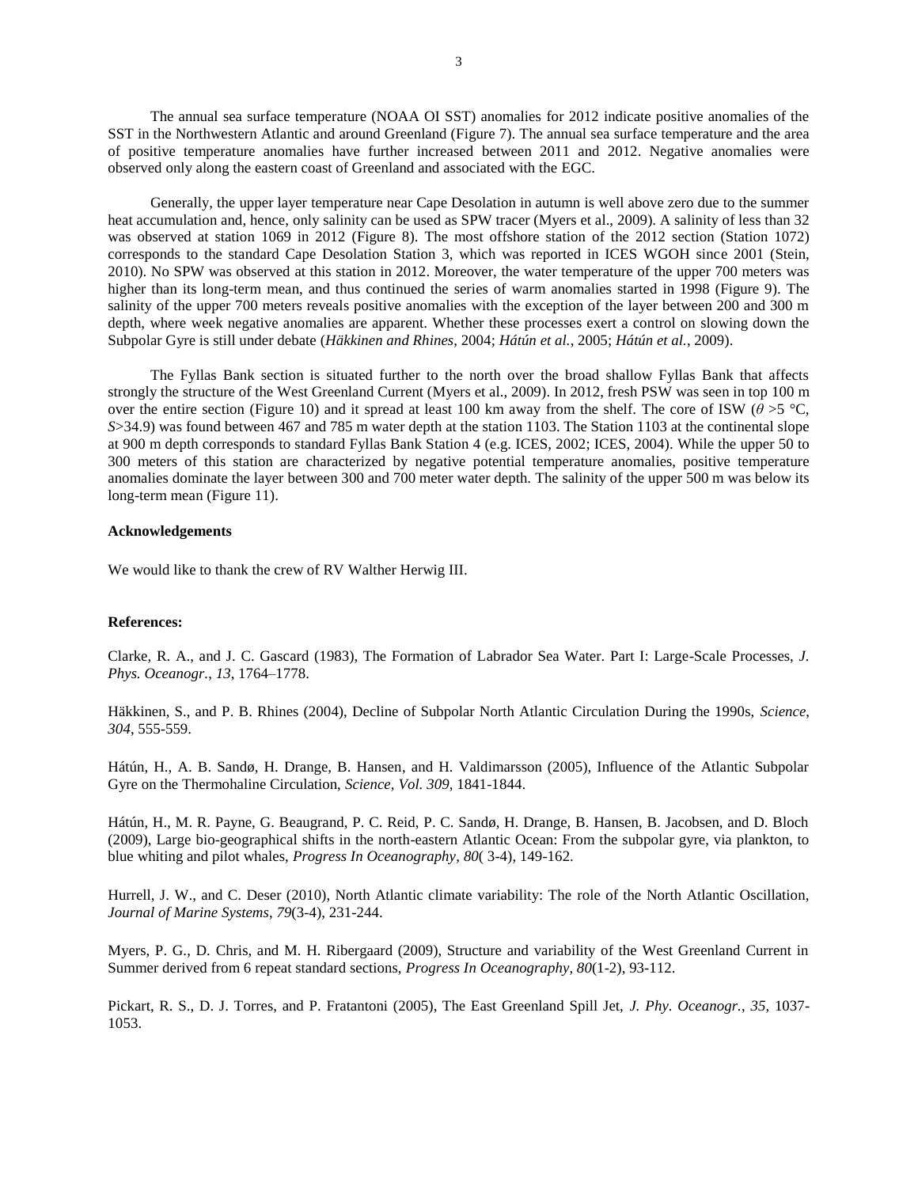The annual sea surface temperature (NOAA OI SST) anomalies for 2012 indicate positive anomalies of the SST in the Northwestern Atlantic and around Greenland (Figure 7). The annual sea surface temperature and the area of positive temperature anomalies have further increased between 2011 and 2012. Negative anomalies were observed only along the eastern coast of Greenland and associated with the EGC.

Generally, the upper layer temperature near Cape Desolation in autumn is well above zero due to the summer heat accumulation and, hence, only salinity can be used as SPW tracer (Myers et al., 2009). A salinity of less than 32 was observed at station 1069 in 2012 (Figure 8). The most offshore station of the 2012 section (Station 1072) corresponds to the standard Cape Desolation Station 3, which was reported in ICES WGOH since 2001 (Stein, 2010). No SPW was observed at this station in 2012. Moreover, the water temperature of the upper 700 meters was higher than its long-term mean, and thus continued the series of warm anomalies started in 1998 (Figure 9). The salinity of the upper 700 meters reveals positive anomalies with the exception of the layer between 200 and 300 m depth, where week negative anomalies are apparent. Whether these processes exert a control on slowing down the Subpolar Gyre is still under debate (*Häkkinen and Rhines*, 2004; *Hátún et al.*, 2005; *Hátún et al.*, 2009).

The Fyllas Bank section is situated further to the north over the broad shallow Fyllas Bank that affects strongly the structure of the West Greenland Current (Myers et al., 2009). In 2012, fresh PSW was seen in top 100 m over the entire section (Figure 10) and it spread at least 100 km away from the shelf. The core of ISW ( $\theta > 5$  °C, *S*>34.9) was found between 467 and 785 m water depth at the station 1103. The Station 1103 at the continental slope at 900 m depth corresponds to standard Fyllas Bank Station 4 (e.g. ICES, 2002; ICES, 2004). While the upper 50 to 300 meters of this station are characterized by negative potential temperature anomalies, positive temperature anomalies dominate the layer between 300 and 700 meter water depth. The salinity of the upper 500 m was below its long-term mean (Figure 11).

### **Acknowledgements**

We would like to thank the crew of RV Walther Herwig III.

#### **References:**

Clarke, R. A., and J. C. Gascard (1983), The Formation of Labrador Sea Water. Part I: Large-Scale Processes, *J. Phys. Oceanogr.*, *13*, 1764–1778.

Häkkinen, S., and P. B. Rhines (2004), Decline of Subpolar North Atlantic Circulation During the 1990s, *Science*, *304*, 555-559.

Hátún, H., A. B. Sandø, H. Drange, B. Hansen, and H. Valdimarsson (2005), Influence of the Atlantic Subpolar Gyre on the Thermohaline Circulation, *Science*, *Vol. 309*, 1841-1844.

Hátún, H., M. R. Payne, G. Beaugrand, P. C. Reid, P. C. Sandø, H. Drange, B. Hansen, B. Jacobsen, and D. Bloch (2009), Large bio-geographical shifts in the north-eastern Atlantic Ocean: From the subpolar gyre, via plankton, to blue whiting and pilot whales, *Progress In Oceanography*, *80*( 3-4), 149-162.

Hurrell, J. W., and C. Deser (2010), North Atlantic climate variability: The role of the North Atlantic Oscillation, *Journal of Marine Systems*, *79*(3-4), 231-244.

Myers, P. G., D. Chris, and M. H. Ribergaard (2009), Structure and variability of the West Greenland Current in Summer derived from 6 repeat standard sections, *Progress In Oceanography*, *80*(1-2), 93-112.

Pickart, R. S., D. J. Torres, and P. Fratantoni (2005), The East Greenland Spill Jet, *J. Phy. Oceanogr.*, *35*, 1037- 1053.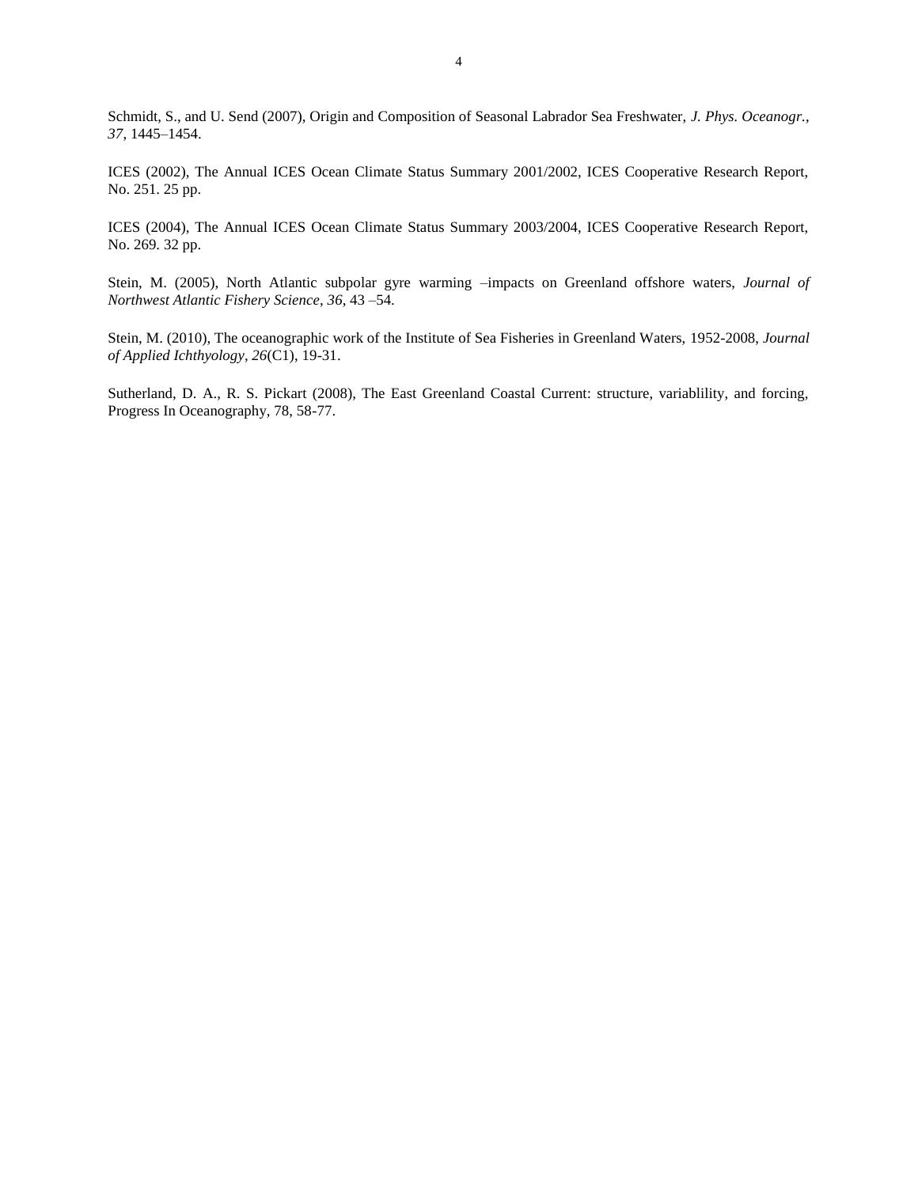Schmidt, S., and U. Send (2007), Origin and Composition of Seasonal Labrador Sea Freshwater, *J. Phys. Oceanogr.*, *37*, 1445–1454.

ICES (2002), The Annual ICES Ocean Climate Status Summary 2001/2002, ICES Cooperative Research Report, No. 251. 25 pp.

ICES (2004), The Annual ICES Ocean Climate Status Summary 2003/2004, ICES Cooperative Research Report, No. 269. 32 pp.

Stein, M. (2005), North Atlantic subpolar gyre warming –impacts on Greenland offshore waters, *Journal of Northwest Atlantic Fishery Science*, *36*, 43 –54.

Stein, M. (2010), The oceanographic work of the Institute of Sea Fisheries in Greenland Waters, 1952-2008, *Journal of Applied Ichthyology*, *26*(C1), 19-31.

Sutherland, D. A., R. S. Pickart (2008), The East Greenland Coastal Current: structure, variablility, and forcing, Progress In Oceanography, 78, 58-77.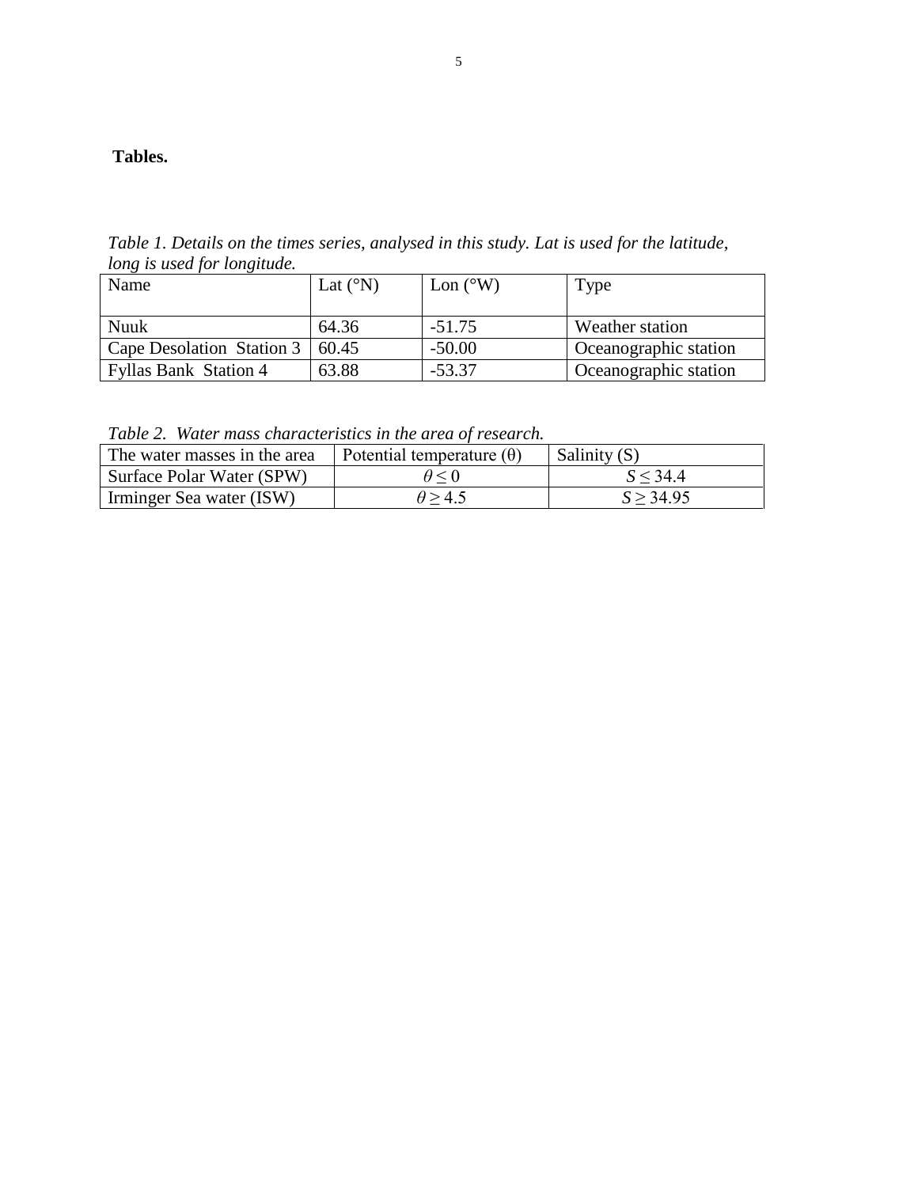## **Tables.**

*Table 1. Details on the times series, analysed in this study. Lat is used for the latitude, long is used for longitude.*

| Name                         | Lat $({}^{\circ}{\rm N})$ | Lon $(^{\circ}W)$ | Type                  |
|------------------------------|---------------------------|-------------------|-----------------------|
|                              |                           |                   |                       |
| Nuuk                         | 64.36                     | $-51.75$          | Weather station       |
| Cape Desolation Station 3    | 60.45                     | $-50.00$          | Oceanographic station |
| <b>Fyllas Bank Station 4</b> | 63.88                     | $-53.37$          | Oceanographic station |

*Table 2. Water mass characteristics in the area of research.* 

| The water masses in the area | Potential temperature $(\theta)$ | Salinity (S) |
|------------------------------|----------------------------------|--------------|
| Surface Polar Water (SPW)    | $\theta$ < 0                     | $S \leq 344$ |
| Irminger Sea water (ISW)     | $\theta$ > 4.5                   | S > 34.95    |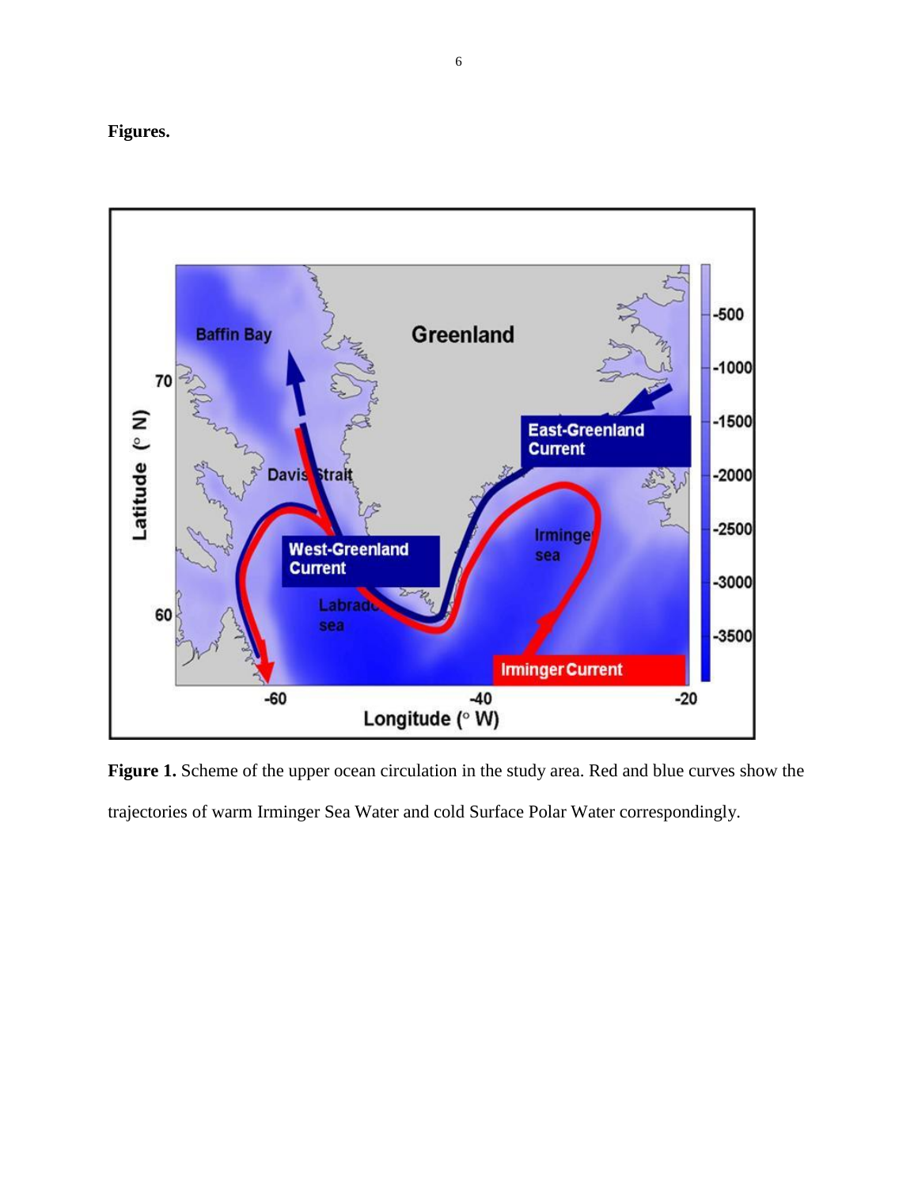# **Figures.**



**Figure 1.** Scheme of the upper ocean circulation in the study area. Red and blue curves show the trajectories of warm Irminger Sea Water and cold Surface Polar Water correspondingly.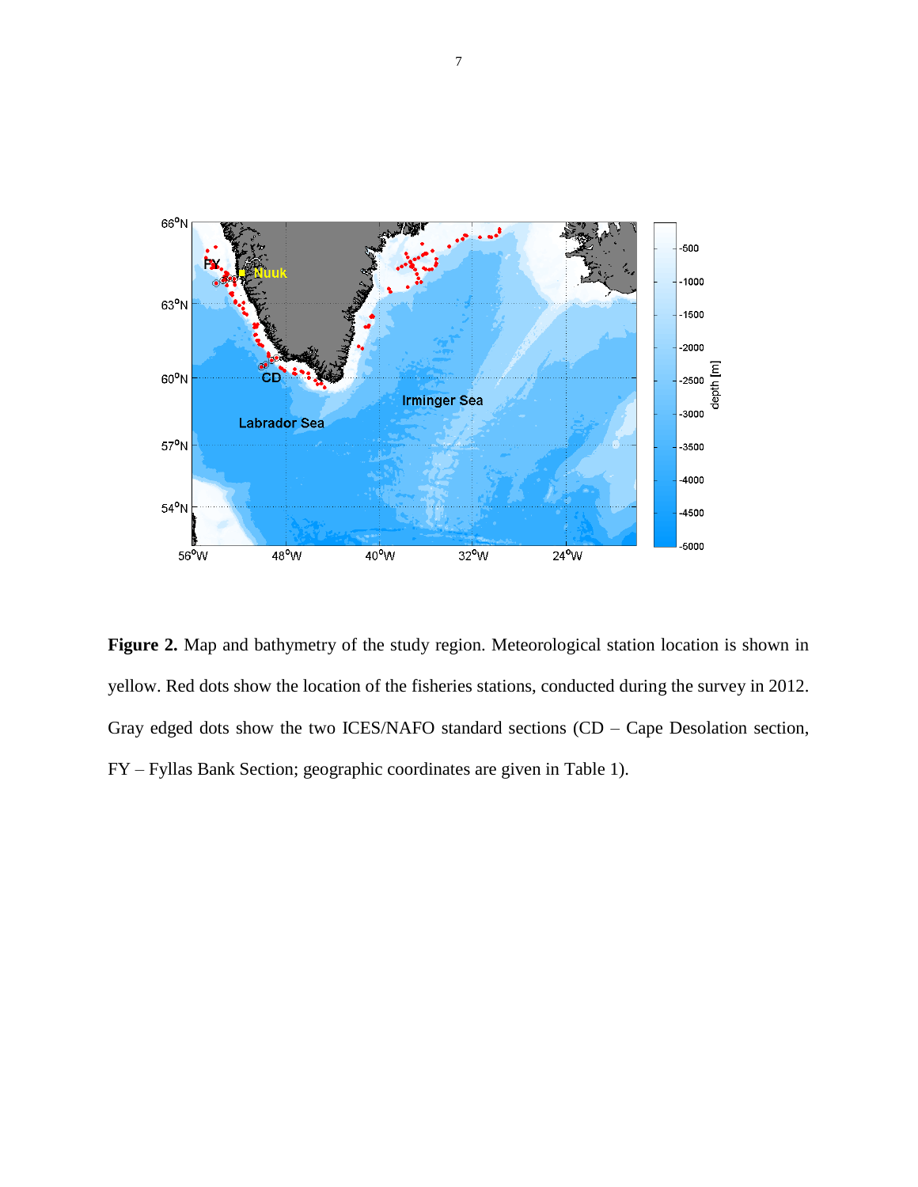

**Figure 2.** Map and bathymetry of the study region. Meteorological station location is shown in yellow. Red dots show the location of the fisheries stations, conducted during the survey in 2012. Gray edged dots show the two ICES/NAFO standard sections (CD – Cape Desolation section, FY – Fyllas Bank Section; geographic coordinates are given in Table 1).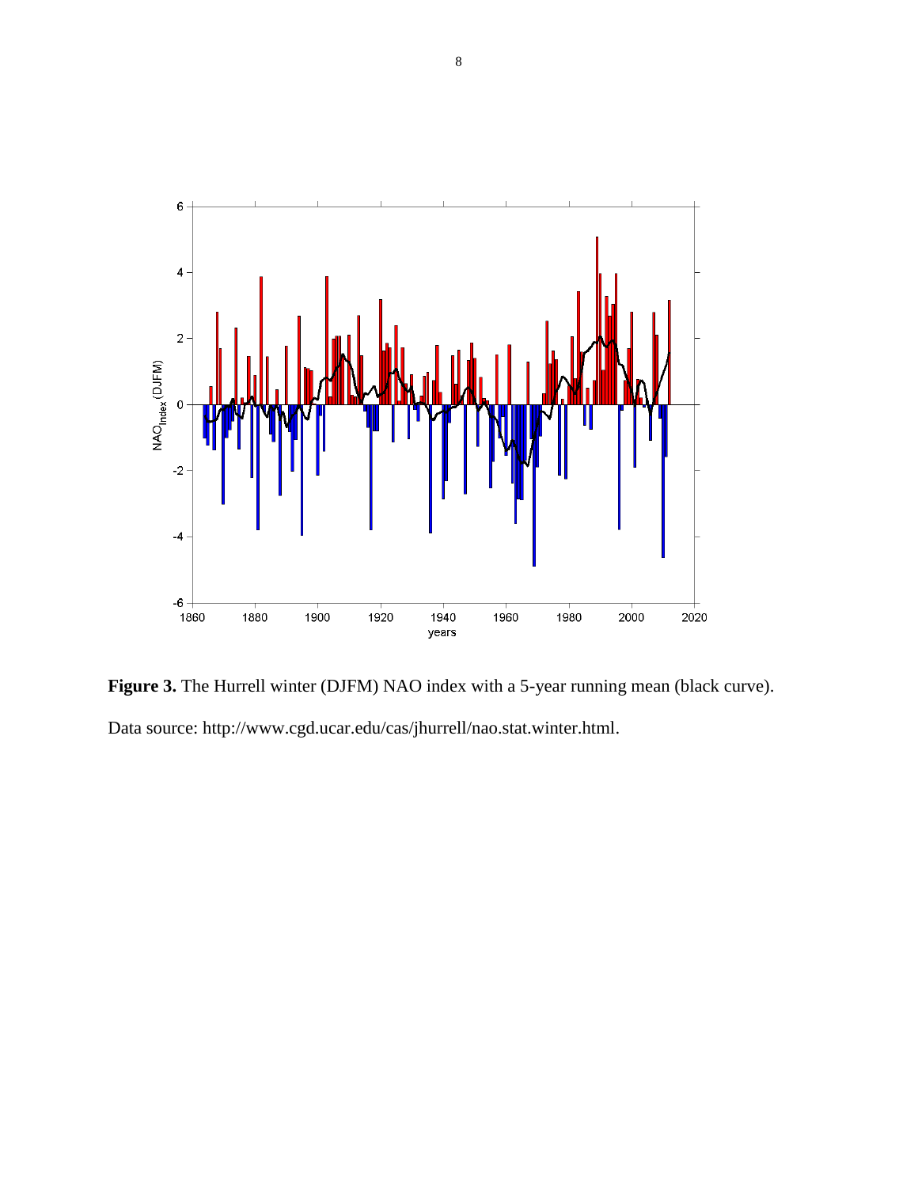

**Figure 3.** The Hurrell winter (DJFM) NAO index with a 5-year running mean (black curve). Data source: http://www.cgd.ucar.edu/cas/jhurrell/nao.stat.winter.html.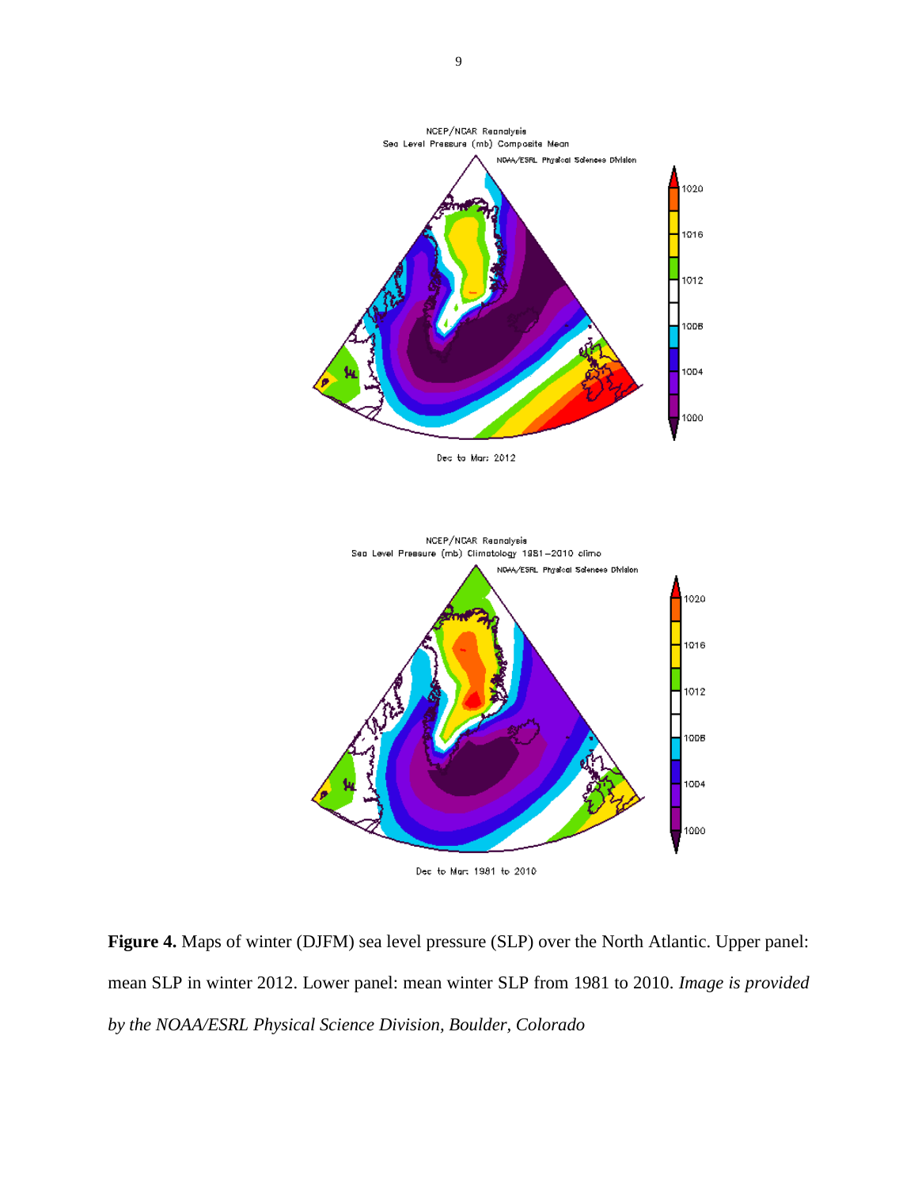

Dec to Mar: 2012



Dec to Mart 1981 to 2010

**Figure 4.** Maps of winter (DJFM) sea level pressure (SLP) over the North Atlantic. Upper panel: mean SLP in winter 2012. Lower panel: mean winter SLP from 1981 to 2010. *Image is provided by the NOAA/ESRL Physical Science Division, Boulder, Colorado*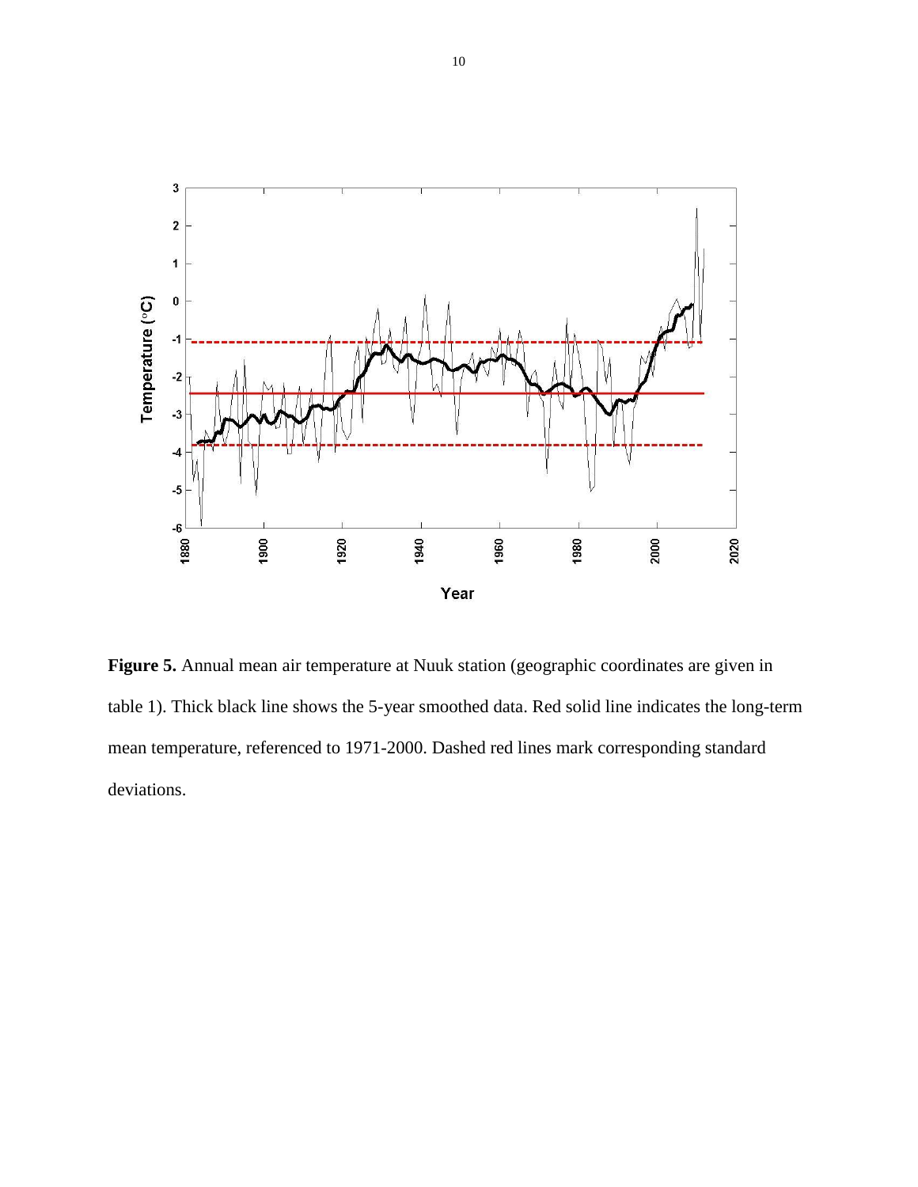

**Figure 5.** Annual mean air temperature at Nuuk station (geographic coordinates are given in table 1). Thick black line shows the 5-year smoothed data. Red solid line indicates the long-term mean temperature, referenced to 1971-2000. Dashed red lines mark corresponding standard deviations.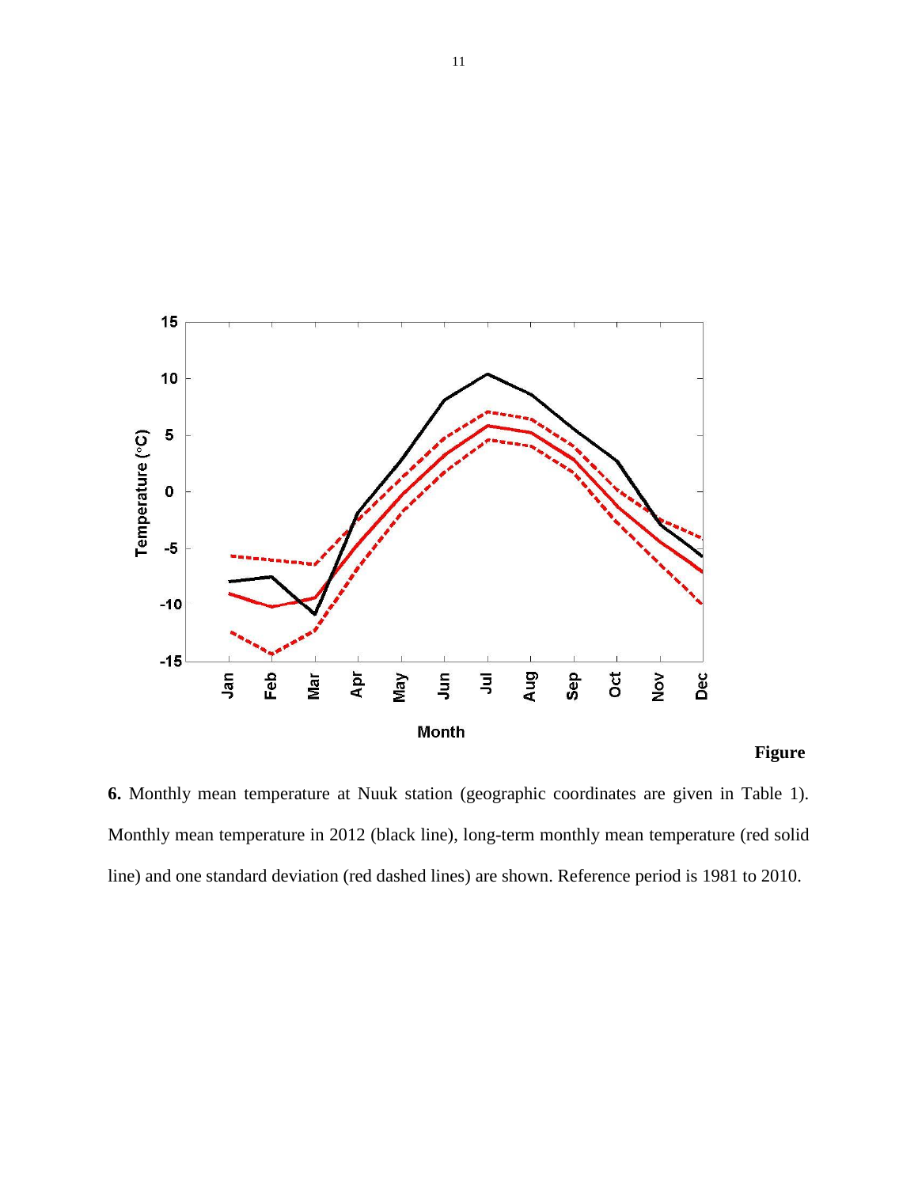

# **Figure**

**6.** Monthly mean temperature at Nuuk station (geographic coordinates are given in Table 1). Monthly mean temperature in 2012 (black line), long-term monthly mean temperature (red solid line) and one standard deviation (red dashed lines) are shown. Reference period is 1981 to 2010.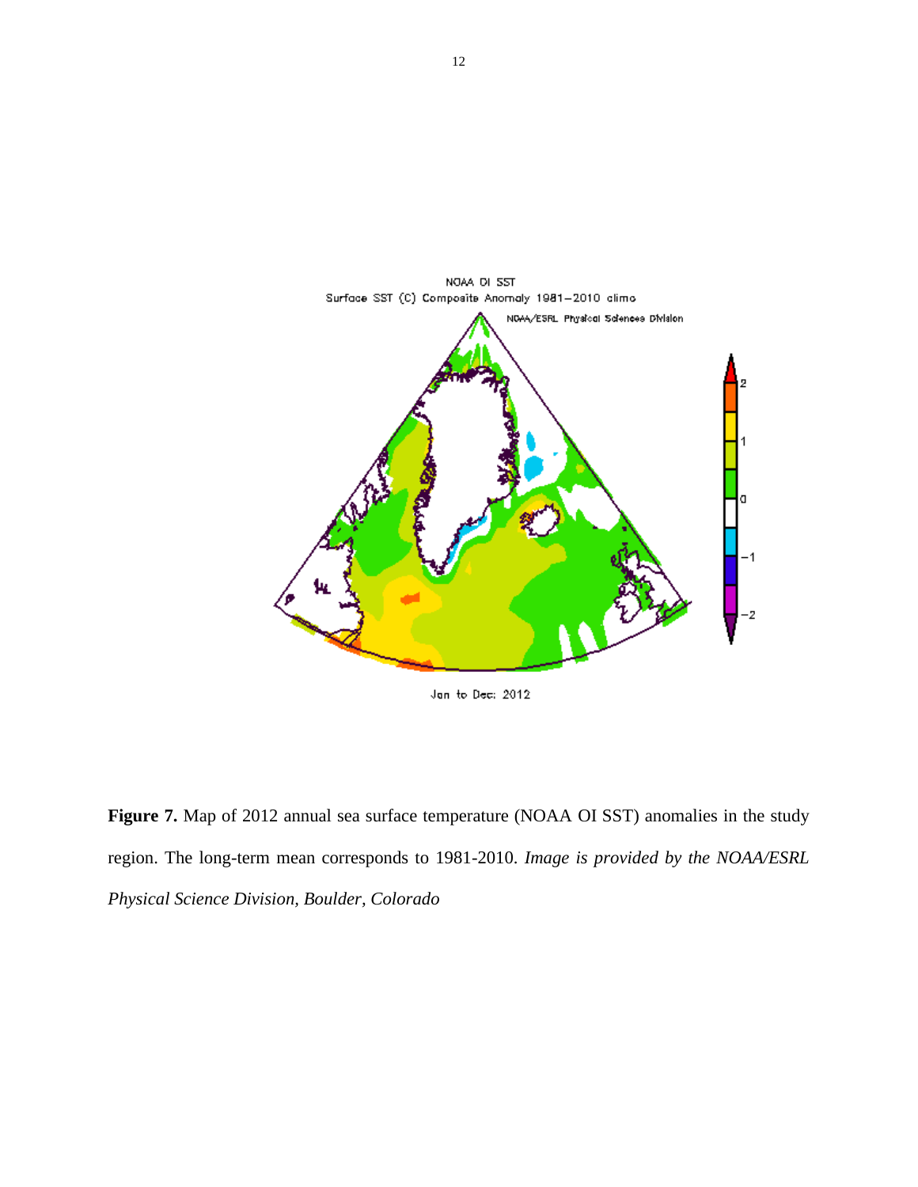

Jan to Dec: 2012

**Figure 7.** Map of 2012 annual sea surface temperature (NOAA OI SST) anomalies in the study region. The long-term mean corresponds to 1981-2010. *Image is provided by the NOAA/ESRL Physical Science Division, Boulder, Colorado*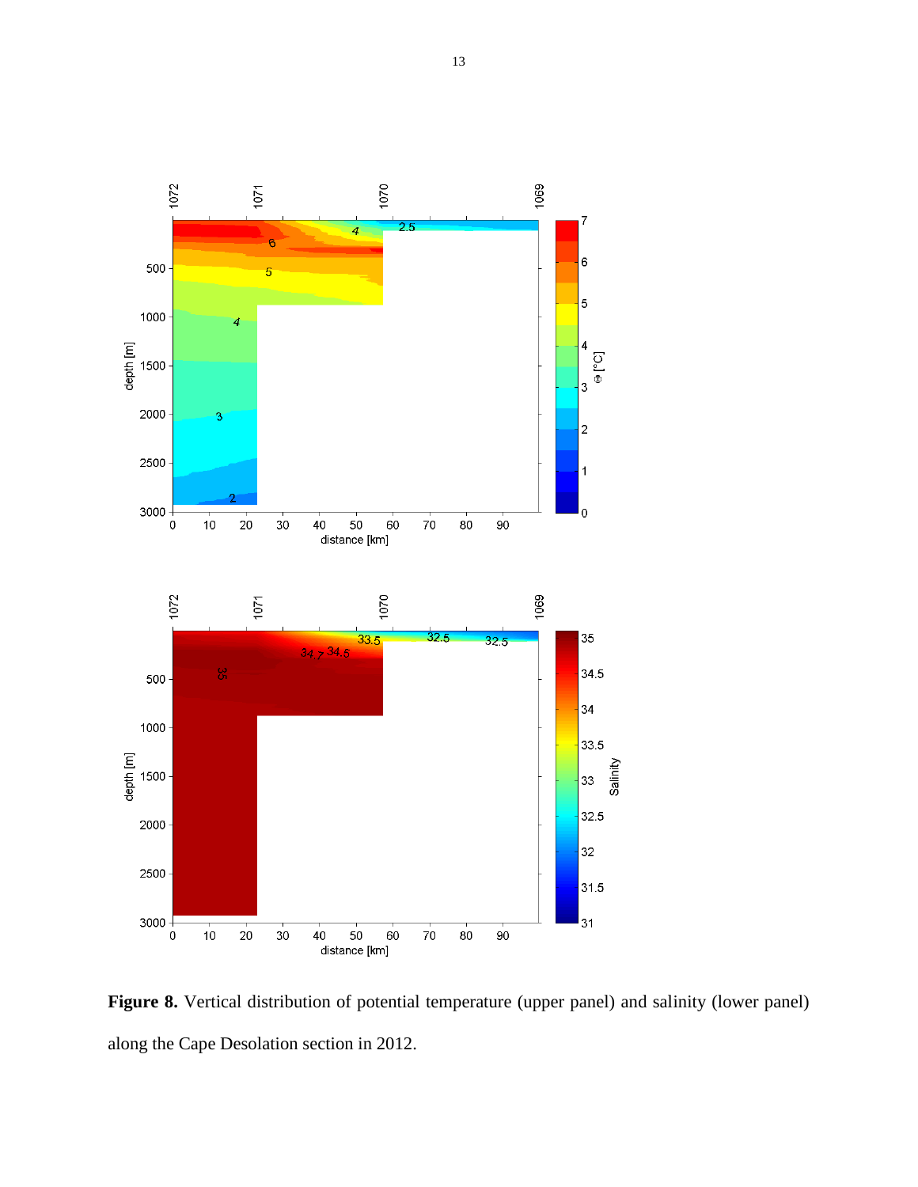

**Figure 8.** Vertical distribution of potential temperature (upper panel) and salinity (lower panel) along the Cape Desolation section in 2012.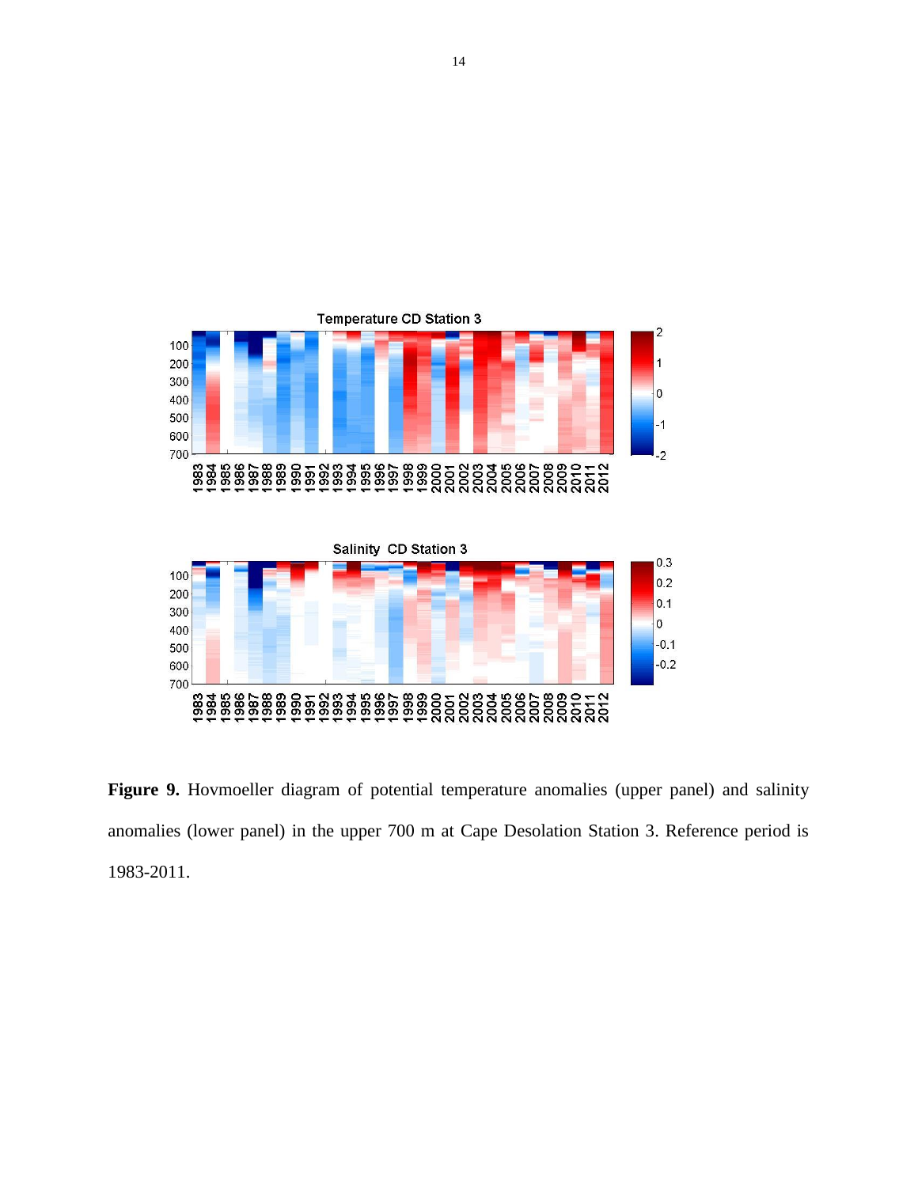

Figure 9. Hovmoeller diagram of potential temperature anomalies (upper panel) and salinity anomalies (lower panel) in the upper 700 m at Cape Desolation Station 3. Reference period is 1983-2011.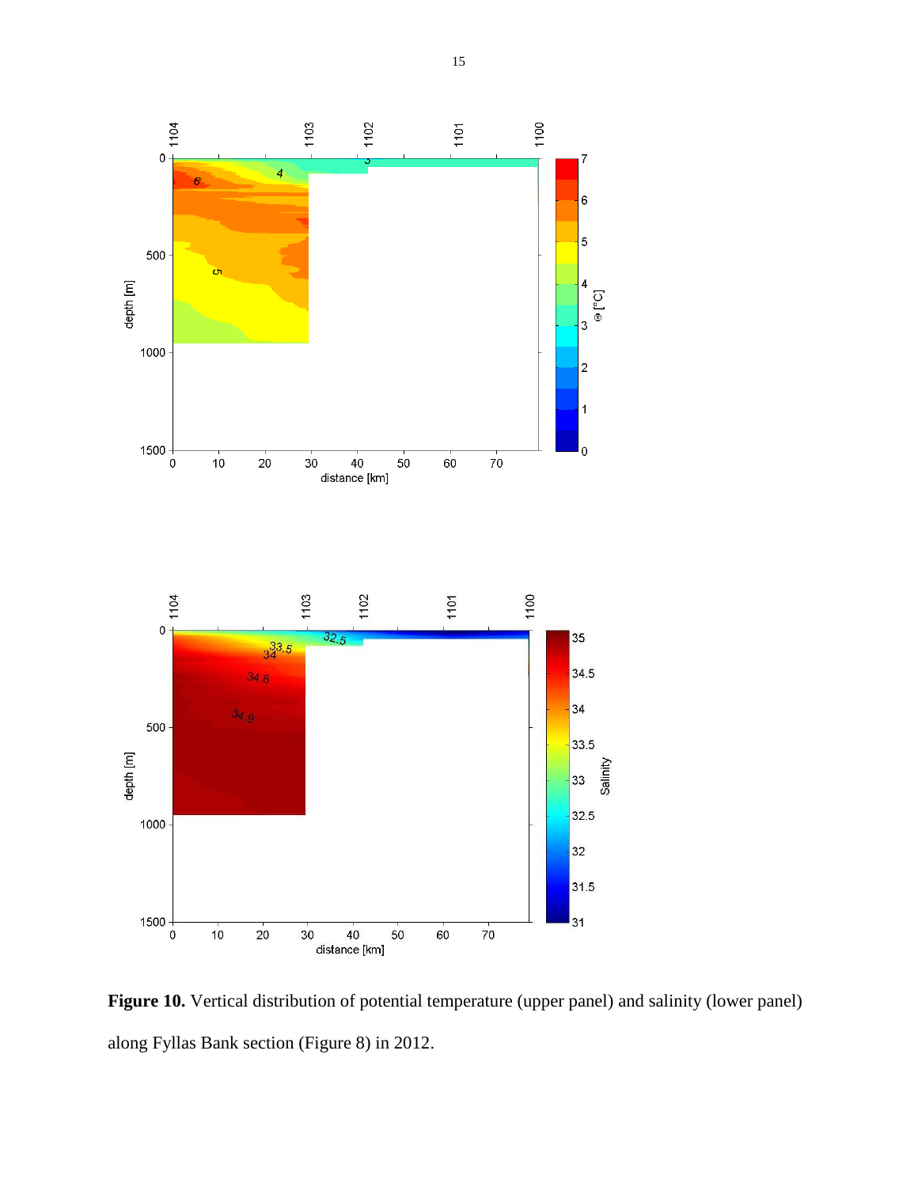

**Figure 10.** Vertical distribution of potential temperature (upper panel) and salinity (lower panel) along Fyllas Bank section (Figure 8) in 2012.